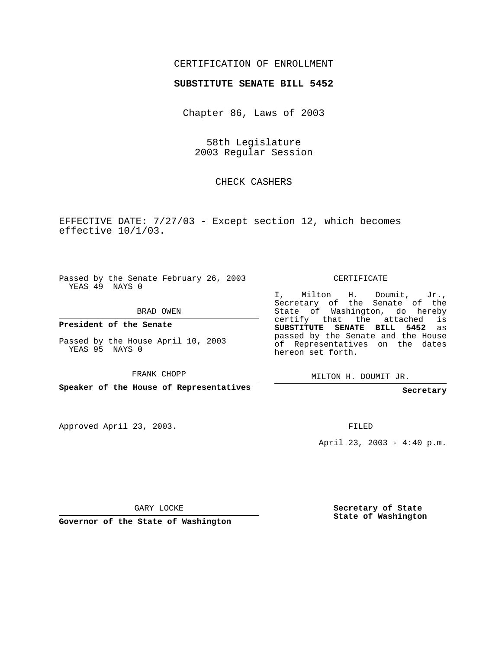## CERTIFICATION OF ENROLLMENT

#### **SUBSTITUTE SENATE BILL 5452**

Chapter 86, Laws of 2003

58th Legislature 2003 Regular Session

## CHECK CASHERS

EFFECTIVE DATE: 7/27/03 - Except section 12, which becomes effective 10/1/03.

Passed by the Senate February 26, 2003 YEAS 49 NAYS 0

BRAD OWEN

**President of the Senate**

Passed by the House April 10, 2003 YEAS 95 NAYS 0

FRANK CHOPP

**Speaker of the House of Representatives**

Approved April 23, 2003.

CERTIFICATE

I, Milton H. Doumit, Jr., Secretary of the Senate of the State of Washington, do hereby certify that the attached is **SUBSTITUTE SENATE BILL 5452** as passed by the Senate and the House of Representatives on the dates hereon set forth.

MILTON H. DOUMIT JR.

**Secretary**

FILED

April 23, 2003 - 4:40 p.m.

GARY LOCKE

**Governor of the State of Washington**

**Secretary of State State of Washington**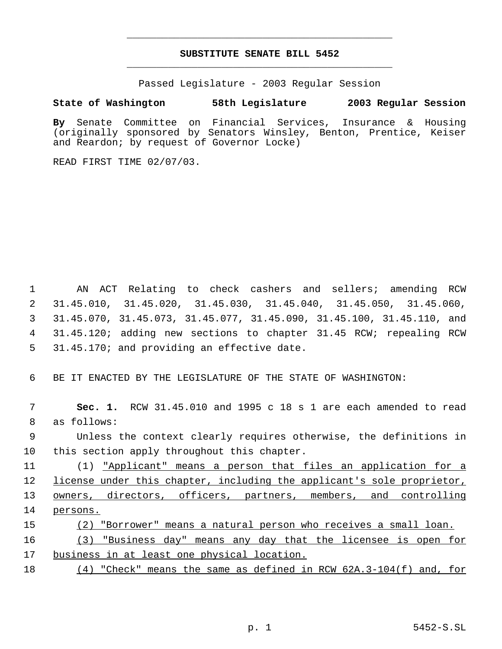# **SUBSTITUTE SENATE BILL 5452** \_\_\_\_\_\_\_\_\_\_\_\_\_\_\_\_\_\_\_\_\_\_\_\_\_\_\_\_\_\_\_\_\_\_\_\_\_\_\_\_\_\_\_\_\_

\_\_\_\_\_\_\_\_\_\_\_\_\_\_\_\_\_\_\_\_\_\_\_\_\_\_\_\_\_\_\_\_\_\_\_\_\_\_\_\_\_\_\_\_\_

Passed Legislature - 2003 Regular Session

# **State of Washington 58th Legislature 2003 Regular Session**

**By** Senate Committee on Financial Services, Insurance & Housing (originally sponsored by Senators Winsley, Benton, Prentice, Keiser and Reardon; by request of Governor Locke)

READ FIRST TIME 02/07/03.

 AN ACT Relating to check cashers and sellers; amending RCW 31.45.010, 31.45.020, 31.45.030, 31.45.040, 31.45.050, 31.45.060, 31.45.070, 31.45.073, 31.45.077, 31.45.090, 31.45.100, 31.45.110, and 31.45.120; adding new sections to chapter 31.45 RCW; repealing RCW 31.45.170; and providing an effective date.

6 BE IT ENACTED BY THE LEGISLATURE OF THE STATE OF WASHINGTON:

 7 **Sec. 1.** RCW 31.45.010 and 1995 c 18 s 1 are each amended to read 8 as follows:

 9 Unless the context clearly requires otherwise, the definitions in 10 this section apply throughout this chapter.

11 (1) "Applicant" means a person that files an application for a 12 license under this chapter, including the applicant's sole proprietor, 13 <u>owners, directors, officers, partners, members, and controlling</u> 14 persons.

15 (2) "Borrower" means a natural person who receives a small loan.

16 (3) "Business day" means any day that the licensee is open for 17 business in at least one physical location.

18 (4) "Check" means the same as defined in RCW 62A.3-104(f) and, for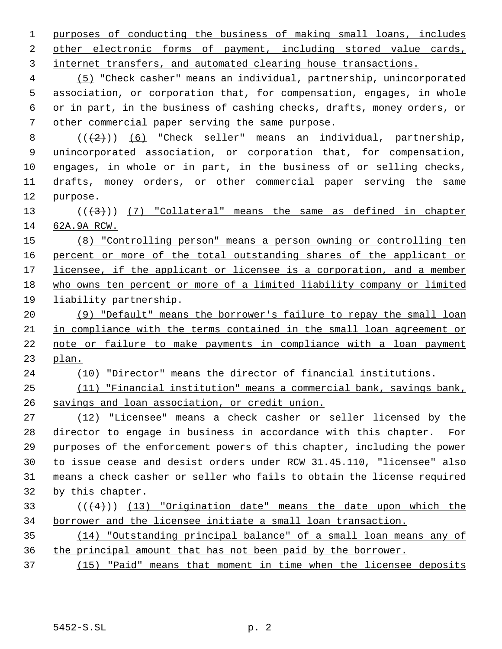purposes of conducting the business of making small loans, includes other electronic forms of payment, including stored value cards, internet transfers, and automated clearing house transactions.

 (5) "Check casher" means an individual, partnership, unincorporated association, or corporation that, for compensation, engages, in whole or in part, in the business of cashing checks, drafts, money orders, or other commercial paper serving the same purpose.

 $((+2))$   $(6)$  "Check seller" means an individual, partnership, unincorporated association, or corporation that, for compensation, engages, in whole or in part, in the business of or selling checks, drafts, money orders, or other commercial paper serving the same purpose.

13  $((+3))$   $(7)$  "Collateral" means the same as defined in chapter 62A.9A RCW.

 (8) "Controlling person" means a person owning or controlling ten 16 percent or more of the total outstanding shares of the applicant or 17 licensee, if the applicant or licensee is a corporation, and a member who owns ten percent or more of a limited liability company or limited liability partnership.

 (9) "Default" means the borrower's failure to repay the small loan in compliance with the terms contained in the small loan agreement or note or failure to make payments in compliance with a loan payment plan.

(10) "Director" means the director of financial institutions.

 (11) "Financial institution" means a commercial bank, savings bank, savings and loan association, or credit union.

 (12) "Licensee" means a check casher or seller licensed by the director to engage in business in accordance with this chapter. For purposes of the enforcement powers of this chapter, including the power to issue cease and desist orders under RCW 31.45.110, "licensee" also means a check casher or seller who fails to obtain the license required by this chapter.

# 33  $((+4))$   $(13)$  "Origination date" means the date upon which the borrower and the licensee initiate a small loan transaction.

 (14) "Outstanding principal balance" of a small loan means any of the principal amount that has not been paid by the borrower.

(15) "Paid" means that moment in time when the licensee deposits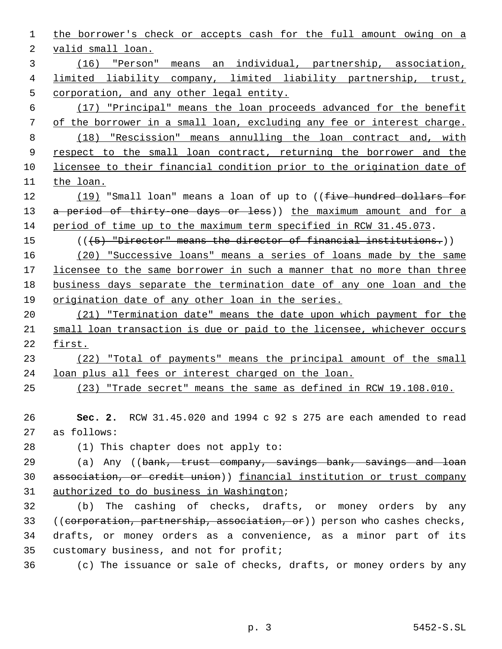the borrower's check or accepts cash for the full amount owing on a valid small loan. (16) "Person" means an individual, partnership, association, limited liability company, limited liability partnership, trust, corporation, and any other legal entity. (17) "Principal" means the loan proceeds advanced for the benefit of the borrower in a small loan, excluding any fee or interest charge. (18) "Rescission" means annulling the loan contract and, with 9 respect to the small loan contract, returning the borrower and the licensee to their financial condition prior to the origination date of the loan. 12 (19) "Small loan" means a loan of up to ((<del>five hundred dollars for</del> 13 a period of thirty-one days or less)) the maximum amount and for a period of time up to the maximum term specified in RCW 31.45.073. (((5) "Director" means the director of financial institutions.)) (20) "Successive loans" means a series of loans made by the same 17 licensee to the same borrower in such a manner that no more than three business days separate the termination date of any one loan and the origination date of any other loan in the series. (21) "Termination date" means the date upon which payment for the small loan transaction is due or paid to the licensee, whichever occurs first. (22) "Total of payments" means the principal amount of the small loan plus all fees or interest charged on the loan. (23) "Trade secret" means the same as defined in RCW 19.108.010. **Sec. 2.** RCW 31.45.020 and 1994 c 92 s 275 are each amended to read as follows: (1) This chapter does not apply to: 29 (a) Any ((bank, trust company, savings bank, savings and loan association, or credit union)) financial institution or trust company authorized to do business in Washington; (b) The cashing of checks, drafts, or money orders by any 33 ((corporation, partnership, association, or)) person who cashes checks, drafts, or money orders as a convenience, as a minor part of its customary business, and not for profit; (c) The issuance or sale of checks, drafts, or money orders by any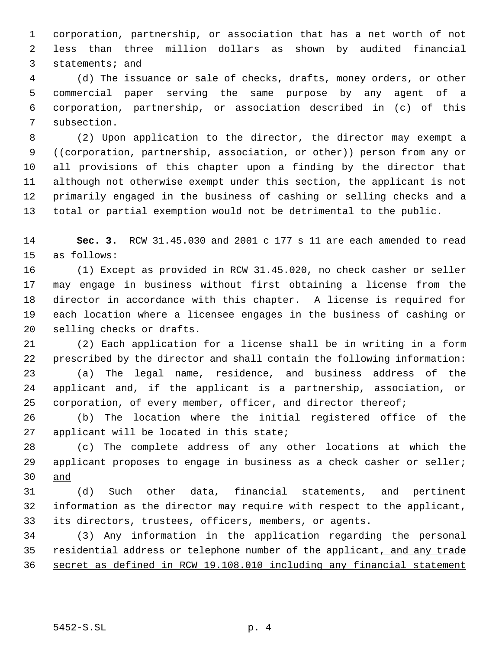corporation, partnership, or association that has a net worth of not less than three million dollars as shown by audited financial statements; and

 (d) The issuance or sale of checks, drafts, money orders, or other commercial paper serving the same purpose by any agent of a corporation, partnership, or association described in (c) of this subsection.

 (2) Upon application to the director, the director may exempt a 9 ((corporation, partnership, association, or other)) person from any or all provisions of this chapter upon a finding by the director that although not otherwise exempt under this section, the applicant is not primarily engaged in the business of cashing or selling checks and a total or partial exemption would not be detrimental to the public.

 **Sec. 3.** RCW 31.45.030 and 2001 c 177 s 11 are each amended to read as follows:

 (1) Except as provided in RCW 31.45.020, no check casher or seller may engage in business without first obtaining a license from the director in accordance with this chapter. A license is required for each location where a licensee engages in the business of cashing or selling checks or drafts.

 (2) Each application for a license shall be in writing in a form prescribed by the director and shall contain the following information:

 (a) The legal name, residence, and business address of the applicant and, if the applicant is a partnership, association, or 25 corporation, of every member, officer, and director thereof;

 (b) The location where the initial registered office of the applicant will be located in this state;

 (c) The complete address of any other locations at which the applicant proposes to engage in business as a check casher or seller; and

 (d) Such other data, financial statements, and pertinent information as the director may require with respect to the applicant, its directors, trustees, officers, members, or agents.

 (3) Any information in the application regarding the personal residential address or telephone number of the applicant, and any trade secret as defined in RCW 19.108.010 including any financial statement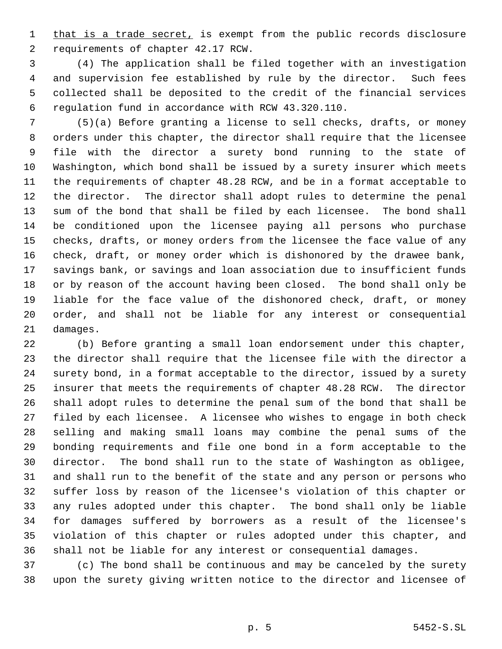1 that is a trade secret, is exempt from the public records disclosure requirements of chapter 42.17 RCW.

 (4) The application shall be filed together with an investigation and supervision fee established by rule by the director. Such fees collected shall be deposited to the credit of the financial services regulation fund in accordance with RCW 43.320.110.

 (5)(a) Before granting a license to sell checks, drafts, or money orders under this chapter, the director shall require that the licensee file with the director a surety bond running to the state of Washington, which bond shall be issued by a surety insurer which meets the requirements of chapter 48.28 RCW, and be in a format acceptable to the director. The director shall adopt rules to determine the penal sum of the bond that shall be filed by each licensee. The bond shall be conditioned upon the licensee paying all persons who purchase checks, drafts, or money orders from the licensee the face value of any check, draft, or money order which is dishonored by the drawee bank, savings bank, or savings and loan association due to insufficient funds or by reason of the account having been closed. The bond shall only be liable for the face value of the dishonored check, draft, or money order, and shall not be liable for any interest or consequential damages.

 (b) Before granting a small loan endorsement under this chapter, the director shall require that the licensee file with the director a surety bond, in a format acceptable to the director, issued by a surety insurer that meets the requirements of chapter 48.28 RCW. The director shall adopt rules to determine the penal sum of the bond that shall be filed by each licensee. A licensee who wishes to engage in both check selling and making small loans may combine the penal sums of the bonding requirements and file one bond in a form acceptable to the director. The bond shall run to the state of Washington as obligee, and shall run to the benefit of the state and any person or persons who suffer loss by reason of the licensee's violation of this chapter or any rules adopted under this chapter. The bond shall only be liable for damages suffered by borrowers as a result of the licensee's violation of this chapter or rules adopted under this chapter, and shall not be liable for any interest or consequential damages.

 (c) The bond shall be continuous and may be canceled by the surety upon the surety giving written notice to the director and licensee of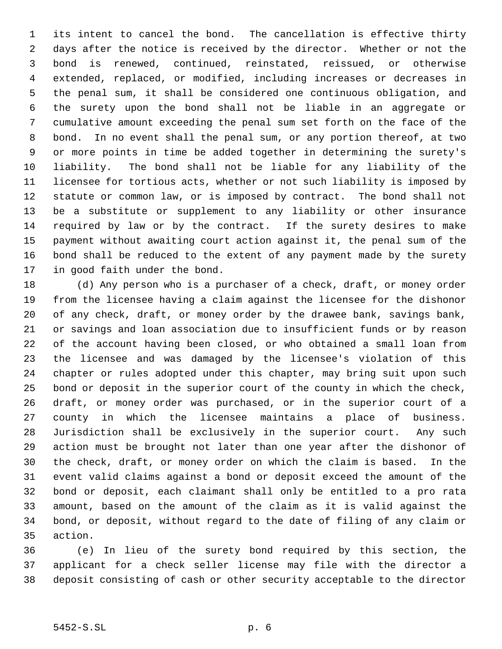its intent to cancel the bond. The cancellation is effective thirty days after the notice is received by the director. Whether or not the bond is renewed, continued, reinstated, reissued, or otherwise extended, replaced, or modified, including increases or decreases in the penal sum, it shall be considered one continuous obligation, and the surety upon the bond shall not be liable in an aggregate or cumulative amount exceeding the penal sum set forth on the face of the bond. In no event shall the penal sum, or any portion thereof, at two or more points in time be added together in determining the surety's liability. The bond shall not be liable for any liability of the licensee for tortious acts, whether or not such liability is imposed by statute or common law, or is imposed by contract. The bond shall not be a substitute or supplement to any liability or other insurance required by law or by the contract. If the surety desires to make payment without awaiting court action against it, the penal sum of the bond shall be reduced to the extent of any payment made by the surety in good faith under the bond.

 (d) Any person who is a purchaser of a check, draft, or money order from the licensee having a claim against the licensee for the dishonor of any check, draft, or money order by the drawee bank, savings bank, or savings and loan association due to insufficient funds or by reason of the account having been closed, or who obtained a small loan from the licensee and was damaged by the licensee's violation of this chapter or rules adopted under this chapter, may bring suit upon such bond or deposit in the superior court of the county in which the check, draft, or money order was purchased, or in the superior court of a county in which the licensee maintains a place of business. Jurisdiction shall be exclusively in the superior court. Any such action must be brought not later than one year after the dishonor of the check, draft, or money order on which the claim is based. In the event valid claims against a bond or deposit exceed the amount of the bond or deposit, each claimant shall only be entitled to a pro rata amount, based on the amount of the claim as it is valid against the bond, or deposit, without regard to the date of filing of any claim or action.

 (e) In lieu of the surety bond required by this section, the applicant for a check seller license may file with the director a deposit consisting of cash or other security acceptable to the director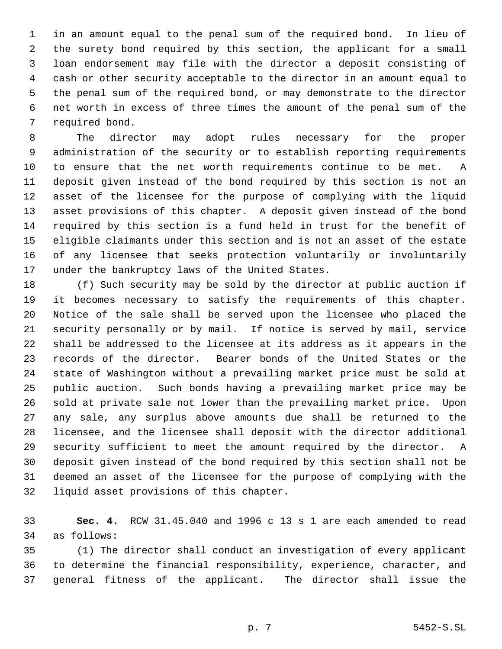in an amount equal to the penal sum of the required bond. In lieu of the surety bond required by this section, the applicant for a small loan endorsement may file with the director a deposit consisting of cash or other security acceptable to the director in an amount equal to the penal sum of the required bond, or may demonstrate to the director net worth in excess of three times the amount of the penal sum of the required bond.

 The director may adopt rules necessary for the proper administration of the security or to establish reporting requirements to ensure that the net worth requirements continue to be met. A deposit given instead of the bond required by this section is not an asset of the licensee for the purpose of complying with the liquid asset provisions of this chapter. A deposit given instead of the bond required by this section is a fund held in trust for the benefit of eligible claimants under this section and is not an asset of the estate of any licensee that seeks protection voluntarily or involuntarily under the bankruptcy laws of the United States.

 (f) Such security may be sold by the director at public auction if it becomes necessary to satisfy the requirements of this chapter. Notice of the sale shall be served upon the licensee who placed the security personally or by mail. If notice is served by mail, service shall be addressed to the licensee at its address as it appears in the records of the director. Bearer bonds of the United States or the state of Washington without a prevailing market price must be sold at public auction. Such bonds having a prevailing market price may be sold at private sale not lower than the prevailing market price. Upon any sale, any surplus above amounts due shall be returned to the licensee, and the licensee shall deposit with the director additional security sufficient to meet the amount required by the director. A deposit given instead of the bond required by this section shall not be deemed an asset of the licensee for the purpose of complying with the liquid asset provisions of this chapter.

 **Sec. 4.** RCW 31.45.040 and 1996 c 13 s 1 are each amended to read as follows:

 (1) The director shall conduct an investigation of every applicant to determine the financial responsibility, experience, character, and general fitness of the applicant. The director shall issue the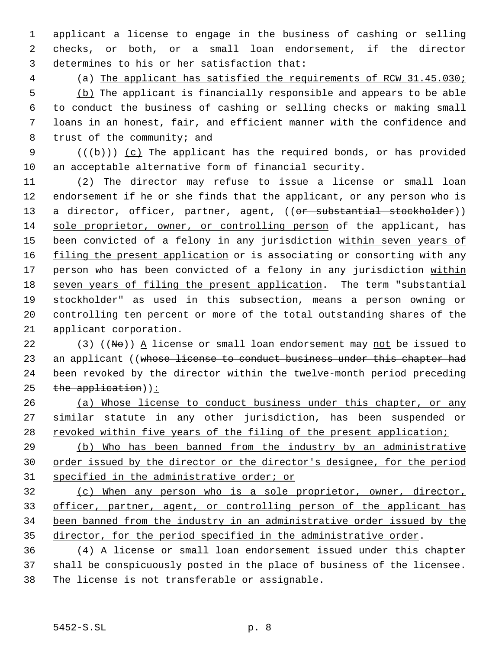applicant a license to engage in the business of cashing or selling checks, or both, or a small loan endorsement, if the director determines to his or her satisfaction that:

 (a) The applicant has satisfied the requirements of RCW 31.45.030; (b) The applicant is financially responsible and appears to be able to conduct the business of cashing or selling checks or making small loans in an honest, fair, and efficient manner with the confidence and trust of the community; and

9  $((+b))$   $(c)$  The applicant has the required bonds, or has provided an acceptable alternative form of financial security.

 (2) The director may refuse to issue a license or small loan endorsement if he or she finds that the applicant, or any person who is 13 a director, officer, partner, agent, ((or substantial stockholder)) sole proprietor, owner, or controlling person of the applicant, has 15 been convicted of a felony in any jurisdiction within seven years of 16 filing the present application or is associating or consorting with any 17 person who has been convicted of a felony in any jurisdiction within 18 seven years of filing the present application. The term "substantial stockholder" as used in this subsection, means a person owning or controlling ten percent or more of the total outstanding shares of the applicant corporation.

22 (3) (( $N\Theta$ )) A license or small loan endorsement may not be issued to 23 an applicant ((whose license to conduct business under this chapter had been revoked by the director within the twelve-month period preceding the application)):

 (a) Whose license to conduct business under this chapter, or any similar statute in any other jurisdiction, has been suspended or 28 revoked within five years of the filing of the present application;

 (b) Who has been banned from the industry by an administrative 30 order issued by the director or the director's designee, for the period specified in the administrative order; or

 (c) When any person who is a sole proprietor, owner, director, officer, partner, agent, or controlling person of the applicant has been banned from the industry in an administrative order issued by the 35 director, for the period specified in the administrative order.

 (4) A license or small loan endorsement issued under this chapter shall be conspicuously posted in the place of business of the licensee. The license is not transferable or assignable.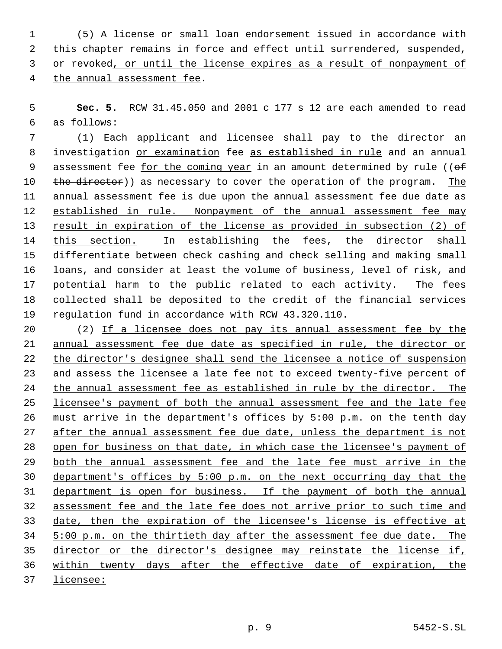(5) A license or small loan endorsement issued in accordance with this chapter remains in force and effect until surrendered, suspended, or revoked, or until the license expires as a result of nonpayment of the annual assessment fee.

 **Sec. 5.** RCW 31.45.050 and 2001 c 177 s 12 are each amended to read as follows:

 (1) Each applicant and licensee shall pay to the director an 8 investigation or examination fee as established in rule and an annual 9 assessment fee for the coming year in an amount determined by rule (( $\theta$ f) 10 the director)) as necessary to cover the operation of the program. The 11 annual assessment fee is due upon the annual assessment fee due date as 12 established in rule. Nonpayment of the annual assessment fee may result in expiration of the license as provided in subsection (2) of this section. In establishing the fees, the director shall differentiate between check cashing and check selling and making small loans, and consider at least the volume of business, level of risk, and potential harm to the public related to each activity. The fees collected shall be deposited to the credit of the financial services regulation fund in accordance with RCW 43.320.110.

 (2) If a licensee does not pay its annual assessment fee by the annual assessment fee due date as specified in rule, the director or the director's designee shall send the licensee a notice of suspension 23 and assess the licensee a late fee not to exceed twenty-five percent of the annual assessment fee as established in rule by the director. The 25 licensee's payment of both the annual assessment fee and the late fee must arrive in the department's offices by 5:00 p.m. on the tenth day 27 after the annual assessment fee due date, unless the department is not open for business on that date, in which case the licensee's payment of 29 both the annual assessment fee and the late fee must arrive in the department's offices by 5:00 p.m. on the next occurring day that the department is open for business. If the payment of both the annual assessment fee and the late fee does not arrive prior to such time and date, then the expiration of the licensee's license is effective at 5:00 p.m. on the thirtieth day after the assessment fee due date. The director or the director's designee may reinstate the license if, within twenty days after the effective date of expiration, the

licensee: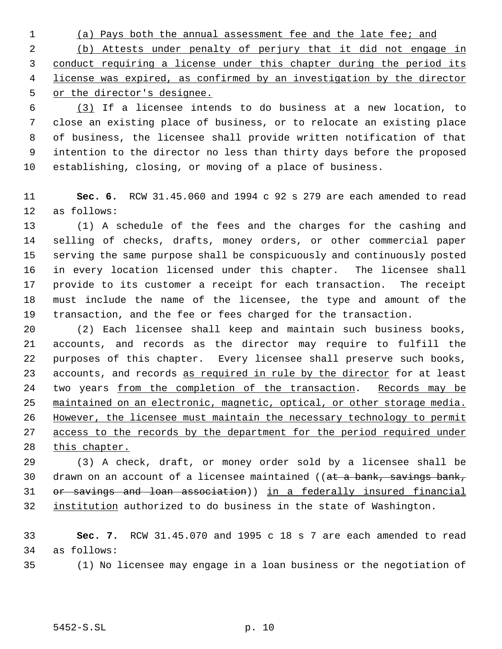(a) Pays both the annual assessment fee and the late fee; and

 (b) Attests under penalty of perjury that it did not engage in 3 conduct requiring a license under this chapter during the period its license was expired, as confirmed by an investigation by the director or the director's designee.

 (3) If a licensee intends to do business at a new location, to close an existing place of business, or to relocate an existing place of business, the licensee shall provide written notification of that intention to the director no less than thirty days before the proposed establishing, closing, or moving of a place of business.

 **Sec. 6.** RCW 31.45.060 and 1994 c 92 s 279 are each amended to read as follows:

 (1) A schedule of the fees and the charges for the cashing and selling of checks, drafts, money orders, or other commercial paper serving the same purpose shall be conspicuously and continuously posted in every location licensed under this chapter. The licensee shall provide to its customer a receipt for each transaction. The receipt must include the name of the licensee, the type and amount of the transaction, and the fee or fees charged for the transaction.

 (2) Each licensee shall keep and maintain such business books, accounts, and records as the director may require to fulfill the purposes of this chapter. Every licensee shall preserve such books, 23 accounts, and records as required in rule by the director for at least 24 two years from the completion of the transaction. Records may be maintained on an electronic, magnetic, optical, or other storage media. However, the licensee must maintain the necessary technology to permit 27 access to the records by the department for the period required under this chapter.

 (3) A check, draft, or money order sold by a licensee shall be 30 drawn on an account of a licensee maintained (( $at$  a bank, savings bank, or savings and loan association)) in a federally insured financial institution authorized to do business in the state of Washington.

 **Sec. 7.** RCW 31.45.070 and 1995 c 18 s 7 are each amended to read as follows:

(1) No licensee may engage in a loan business or the negotiation of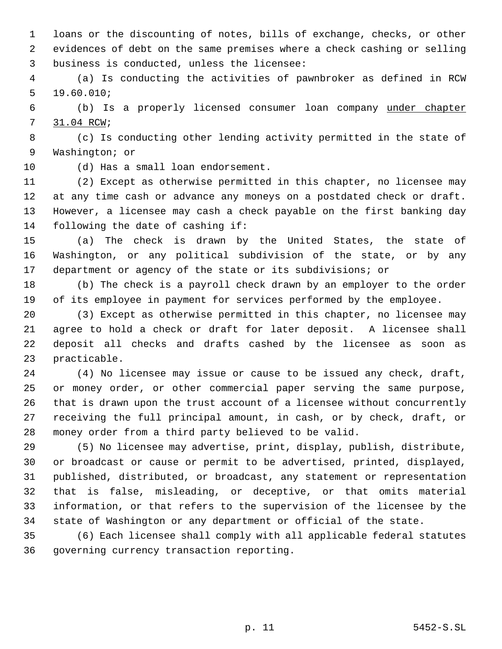loans or the discounting of notes, bills of exchange, checks, or other evidences of debt on the same premises where a check cashing or selling business is conducted, unless the licensee:

 (a) Is conducting the activities of pawnbroker as defined in RCW 19.60.010;

 (b) Is a properly licensed consumer loan company under chapter 31.04 RCW;

 (c) Is conducting other lending activity permitted in the state of Washington; or

(d) Has a small loan endorsement.

 (2) Except as otherwise permitted in this chapter, no licensee may at any time cash or advance any moneys on a postdated check or draft. However, a licensee may cash a check payable on the first banking day following the date of cashing if:

 (a) The check is drawn by the United States, the state of Washington, or any political subdivision of the state, or by any department or agency of the state or its subdivisions; or

 (b) The check is a payroll check drawn by an employer to the order of its employee in payment for services performed by the employee.

 (3) Except as otherwise permitted in this chapter, no licensee may agree to hold a check or draft for later deposit. A licensee shall deposit all checks and drafts cashed by the licensee as soon as practicable.

 (4) No licensee may issue or cause to be issued any check, draft, or money order, or other commercial paper serving the same purpose, that is drawn upon the trust account of a licensee without concurrently receiving the full principal amount, in cash, or by check, draft, or money order from a third party believed to be valid.

 (5) No licensee may advertise, print, display, publish, distribute, or broadcast or cause or permit to be advertised, printed, displayed, published, distributed, or broadcast, any statement or representation that is false, misleading, or deceptive, or that omits material information, or that refers to the supervision of the licensee by the state of Washington or any department or official of the state.

 (6) Each licensee shall comply with all applicable federal statutes governing currency transaction reporting.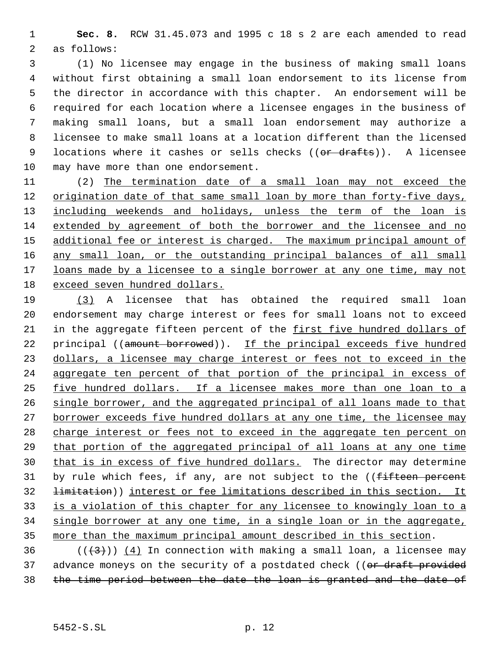**Sec. 8.** RCW 31.45.073 and 1995 c 18 s 2 are each amended to read as follows:

 (1) No licensee may engage in the business of making small loans without first obtaining a small loan endorsement to its license from the director in accordance with this chapter. An endorsement will be required for each location where a licensee engages in the business of making small loans, but a small loan endorsement may authorize a licensee to make small loans at a location different than the licensed 9 locations where it cashes or sells checks ((or drafts)). A licensee may have more than one endorsement.

 (2) The termination date of a small loan may not exceed the origination date of that same small loan by more than forty-five days, 13 including weekends and holidays, unless the term of the loan is extended by agreement of both the borrower and the licensee and no 15 additional fee or interest is charged. The maximum principal amount of any small loan, or the outstanding principal balances of all small loans made by a licensee to a single borrower at any one time, may not exceed seven hundred dollars.

 (3) A licensee that has obtained the required small loan endorsement may charge interest or fees for small loans not to exceed in the aggregate fifteen percent of the first five hundred dollars of 22 principal ((amount borrowed)). If the principal exceeds five hundred dollars, a licensee may charge interest or fees not to exceed in the aggregate ten percent of that portion of the principal in excess of five hundred dollars. If a licensee makes more than one loan to a single borrower, and the aggregated principal of all loans made to that borrower exceeds five hundred dollars at any one time, the licensee may charge interest or fees not to exceed in the aggregate ten percent on that portion of the aggregated principal of all loans at any one time that is in excess of five hundred dollars. The director may determine 31 by rule which fees, if any, are not subject to the ((fifteen percent limitation)) interest or fee limitations described in this section. It is a violation of this chapter for any licensee to knowingly loan to a single borrower at any one time, in a single loan or in the aggregate, more than the maximum principal amount described in this section.

36 ( $(\frac{4}{3})$ ) (4) In connection with making a small loan, a licensee may 37 advance moneys on the security of a postdated check ((or draft provided 38 the time period between the date the loan is granted and the date of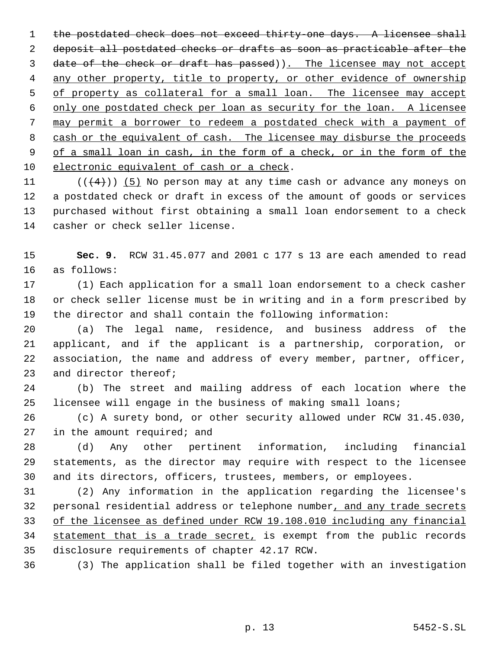1 the postdated check does not exceed thirty-one days. A licensee shall deposit all postdated checks or drafts as soon as practicable after the 3 date of the check or draft has passed)). The licensee may not accept 4 any other property, title to property, or other evidence of ownership 5 of property as collateral for a small loan. The licensee may accept only one postdated check per loan as security for the loan. A licensee may permit a borrower to redeem a postdated check with a payment of 8 cash or the equivalent of cash. The licensee may disburse the proceeds of a small loan in cash, in the form of a check, or in the form of the electronic equivalent of cash or a check.

 $((4+))$  (5) No person may at any time cash or advance any moneys on a postdated check or draft in excess of the amount of goods or services purchased without first obtaining a small loan endorsement to a check casher or check seller license.

 **Sec. 9.** RCW 31.45.077 and 2001 c 177 s 13 are each amended to read as follows:

 (1) Each application for a small loan endorsement to a check casher or check seller license must be in writing and in a form prescribed by the director and shall contain the following information:

 (a) The legal name, residence, and business address of the applicant, and if the applicant is a partnership, corporation, or association, the name and address of every member, partner, officer, 23 and director thereof;

 (b) The street and mailing address of each location where the licensee will engage in the business of making small loans;

 (c) A surety bond, or other security allowed under RCW 31.45.030, in the amount required; and

 (d) Any other pertinent information, including financial statements, as the director may require with respect to the licensee and its directors, officers, trustees, members, or employees.

 (2) Any information in the application regarding the licensee's 32 personal residential address or telephone number, and any trade secrets of the licensee as defined under RCW 19.108.010 including any financial 34 statement that is a trade secret, is exempt from the public records disclosure requirements of chapter 42.17 RCW.

(3) The application shall be filed together with an investigation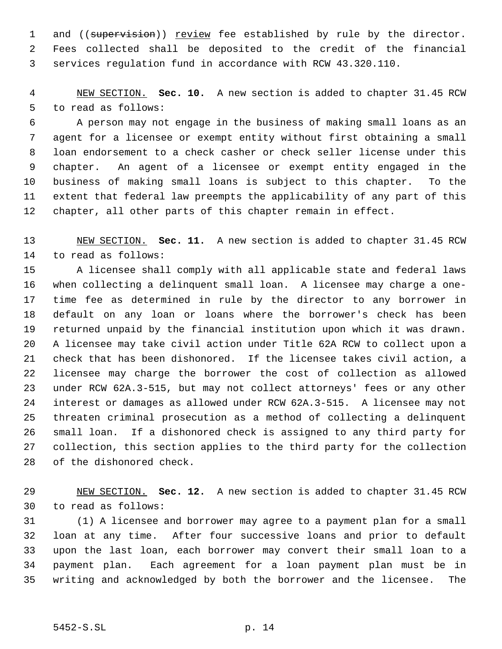1 and ((supervision)) review fee established by rule by the director. Fees collected shall be deposited to the credit of the financial services regulation fund in accordance with RCW 43.320.110.

 NEW SECTION. **Sec. 10.** A new section is added to chapter 31.45 RCW to read as follows:

 A person may not engage in the business of making small loans as an agent for a licensee or exempt entity without first obtaining a small loan endorsement to a check casher or check seller license under this chapter. An agent of a licensee or exempt entity engaged in the business of making small loans is subject to this chapter. To the extent that federal law preempts the applicability of any part of this chapter, all other parts of this chapter remain in effect.

 NEW SECTION. **Sec. 11.** A new section is added to chapter 31.45 RCW to read as follows:

 A licensee shall comply with all applicable state and federal laws when collecting a delinquent small loan. A licensee may charge a one- time fee as determined in rule by the director to any borrower in default on any loan or loans where the borrower's check has been returned unpaid by the financial institution upon which it was drawn. A licensee may take civil action under Title 62A RCW to collect upon a check that has been dishonored. If the licensee takes civil action, a licensee may charge the borrower the cost of collection as allowed under RCW 62A.3-515, but may not collect attorneys' fees or any other interest or damages as allowed under RCW 62A.3-515. A licensee may not threaten criminal prosecution as a method of collecting a delinquent small loan. If a dishonored check is assigned to any third party for collection, this section applies to the third party for the collection of the dishonored check.

 NEW SECTION. **Sec. 12.** A new section is added to chapter 31.45 RCW to read as follows:

 (1) A licensee and borrower may agree to a payment plan for a small loan at any time. After four successive loans and prior to default upon the last loan, each borrower may convert their small loan to a payment plan. Each agreement for a loan payment plan must be in writing and acknowledged by both the borrower and the licensee. The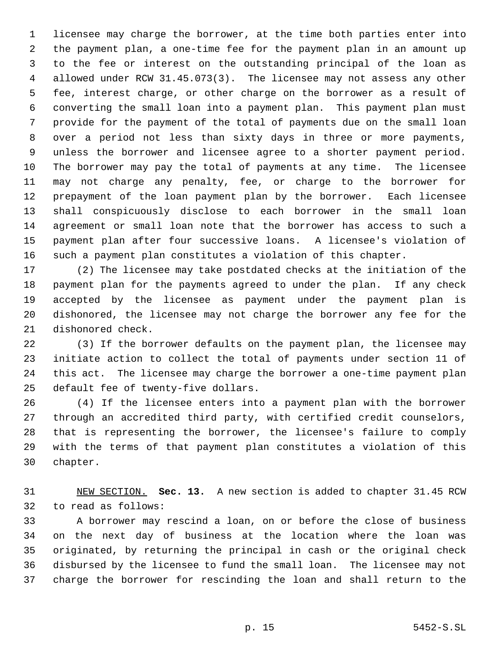licensee may charge the borrower, at the time both parties enter into the payment plan, a one-time fee for the payment plan in an amount up to the fee or interest on the outstanding principal of the loan as allowed under RCW 31.45.073(3). The licensee may not assess any other fee, interest charge, or other charge on the borrower as a result of converting the small loan into a payment plan. This payment plan must provide for the payment of the total of payments due on the small loan over a period not less than sixty days in three or more payments, unless the borrower and licensee agree to a shorter payment period. The borrower may pay the total of payments at any time. The licensee may not charge any penalty, fee, or charge to the borrower for prepayment of the loan payment plan by the borrower. Each licensee shall conspicuously disclose to each borrower in the small loan agreement or small loan note that the borrower has access to such a payment plan after four successive loans. A licensee's violation of such a payment plan constitutes a violation of this chapter.

 (2) The licensee may take postdated checks at the initiation of the payment plan for the payments agreed to under the plan. If any check accepted by the licensee as payment under the payment plan is dishonored, the licensee may not charge the borrower any fee for the dishonored check.

 (3) If the borrower defaults on the payment plan, the licensee may initiate action to collect the total of payments under section 11 of this act. The licensee may charge the borrower a one-time payment plan default fee of twenty-five dollars.

 (4) If the licensee enters into a payment plan with the borrower through an accredited third party, with certified credit counselors, that is representing the borrower, the licensee's failure to comply with the terms of that payment plan constitutes a violation of this chapter.

 NEW SECTION. **Sec. 13.** A new section is added to chapter 31.45 RCW to read as follows:

 A borrower may rescind a loan, on or before the close of business on the next day of business at the location where the loan was originated, by returning the principal in cash or the original check disbursed by the licensee to fund the small loan. The licensee may not charge the borrower for rescinding the loan and shall return to the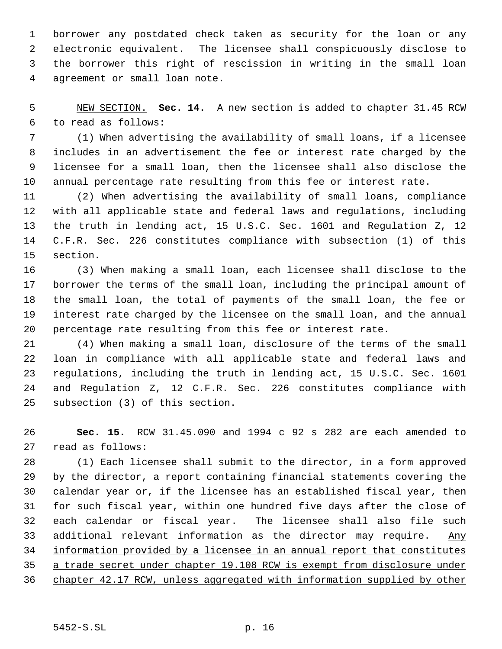borrower any postdated check taken as security for the loan or any electronic equivalent. The licensee shall conspicuously disclose to the borrower this right of rescission in writing in the small loan agreement or small loan note.

 NEW SECTION. **Sec. 14.** A new section is added to chapter 31.45 RCW to read as follows:

 (1) When advertising the availability of small loans, if a licensee includes in an advertisement the fee or interest rate charged by the licensee for a small loan, then the licensee shall also disclose the annual percentage rate resulting from this fee or interest rate.

 (2) When advertising the availability of small loans, compliance with all applicable state and federal laws and regulations, including the truth in lending act, 15 U.S.C. Sec. 1601 and Regulation Z, 12 C.F.R. Sec. 226 constitutes compliance with subsection (1) of this section.

 (3) When making a small loan, each licensee shall disclose to the borrower the terms of the small loan, including the principal amount of the small loan, the total of payments of the small loan, the fee or interest rate charged by the licensee on the small loan, and the annual percentage rate resulting from this fee or interest rate.

 (4) When making a small loan, disclosure of the terms of the small loan in compliance with all applicable state and federal laws and regulations, including the truth in lending act, 15 U.S.C. Sec. 1601 and Regulation Z, 12 C.F.R. Sec. 226 constitutes compliance with subsection (3) of this section.

 **Sec. 15.** RCW 31.45.090 and 1994 c 92 s 282 are each amended to read as follows:

 (1) Each licensee shall submit to the director, in a form approved by the director, a report containing financial statements covering the calendar year or, if the licensee has an established fiscal year, then for such fiscal year, within one hundred five days after the close of each calendar or fiscal year. The licensee shall also file such 33 additional relevant information as the director may require. Any information provided by a licensee in an annual report that constitutes a trade secret under chapter 19.108 RCW is exempt from disclosure under chapter 42.17 RCW, unless aggregated with information supplied by other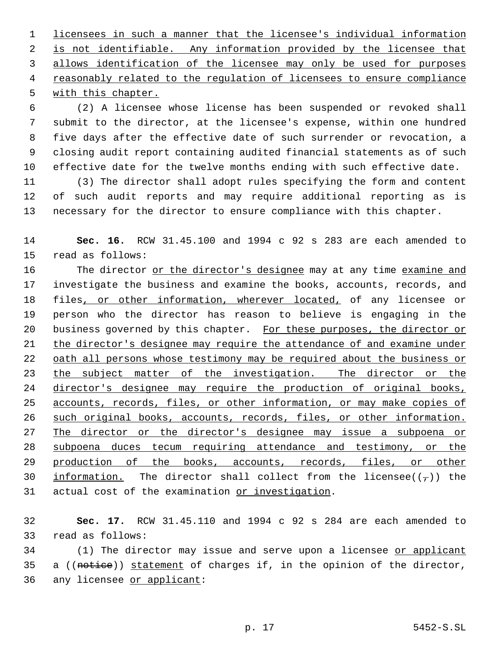licensees in such a manner that the licensee's individual information 2 is not identifiable. Any information provided by the licensee that 3 allows identification of the licensee may only be used for purposes reasonably related to the regulation of licensees to ensure compliance with this chapter.

 (2) A licensee whose license has been suspended or revoked shall submit to the director, at the licensee's expense, within one hundred five days after the effective date of such surrender or revocation, a closing audit report containing audited financial statements as of such effective date for the twelve months ending with such effective date.

 (3) The director shall adopt rules specifying the form and content of such audit reports and may require additional reporting as is necessary for the director to ensure compliance with this chapter.

 **Sec. 16.** RCW 31.45.100 and 1994 c 92 s 283 are each amended to read as follows:

16 The director or the director's designee may at any time examine and investigate the business and examine the books, accounts, records, and files, or other information, wherever located, of any licensee or person who the director has reason to believe is engaging in the business governed by this chapter. For these purposes, the director or the director's designee may require the attendance of and examine under 22 oath all persons whose testimony may be required about the business or 23 the subject matter of the investigation. The director or the director's designee may require the production of original books, accounts, records, files, or other information, or may make copies of such original books, accounts, records, files, or other information. 27 The director or the director's designee may issue a subpoena or subpoena duces tecum requiring attendance and testimony, or the 29 production of the books, accounts, records, files, or other 30 information. The director shall collect from the licensee( $(\tau)$ ) the actual cost of the examination or investigation.

 **Sec. 17.** RCW 31.45.110 and 1994 c 92 s 284 are each amended to read as follows:

34 (1) The director may issue and serve upon a licensee or applicant 35 a ((notice)) statement of charges if, in the opinion of the director, 36 any licensee or applicant: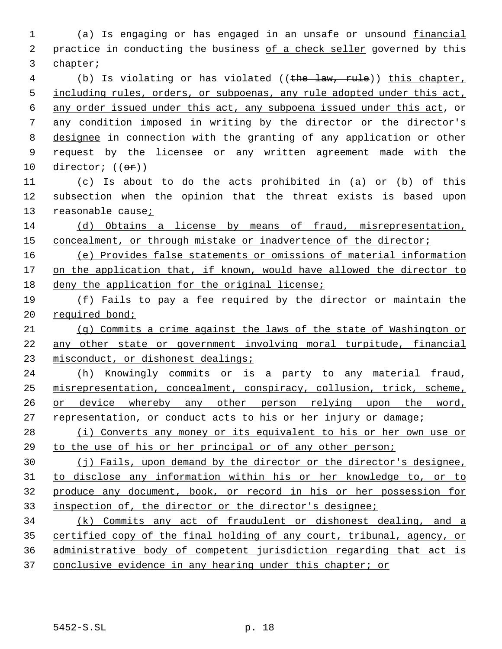(a) Is engaging or has engaged in an unsafe or unsound financial 2 practice in conducting the business of a check seller governed by this chapter; 4 (b) Is violating or has violated ((the law, rule)) this chapter, 5 including rules, orders, or subpoenas, any rule adopted under this act, any order issued under this act, any subpoena issued under this act, or any condition imposed in writing by the director or the director's designee in connection with the granting of any application or other request by the licensee or any written agreement made with the 10 director;  $((\theta \hat{r}))$  (c) Is about to do the acts prohibited in (a) or (b) of this subsection when the opinion that the threat exists is based upon reasonable cause; (d) Obtains a license by means of fraud, misrepresentation, concealment, or through mistake or inadvertence of the director; (e) Provides false statements or omissions of material information 17 on the application that, if known, would have allowed the director to deny the application for the original license; (f) Fails to pay a fee required by the director or maintain the 20 required bond; (g) Commits a crime against the laws of the state of Washington or any other state or government involving moral turpitude, financial 23 misconduct, or dishonest dealings; (h) Knowingly commits or is a party to any material fraud, misrepresentation, concealment, conspiracy, collusion, trick, scheme, or device whereby any other person relying upon the word, representation, or conduct acts to his or her injury or damage; 28 (i) Converts any money or its equivalent to his or her own use or to the use of his or her principal or of any other person; (j) Fails, upon demand by the director or the director's designee, to disclose any information within his or her knowledge to, or to produce any document, book, or record in his or her possession for inspection of, the director or the director's designee; (k) Commits any act of fraudulent or dishonest dealing, and a certified copy of the final holding of any court, tribunal, agency, or administrative body of competent jurisdiction regarding that act is 37 conclusive evidence in any hearing under this chapter; or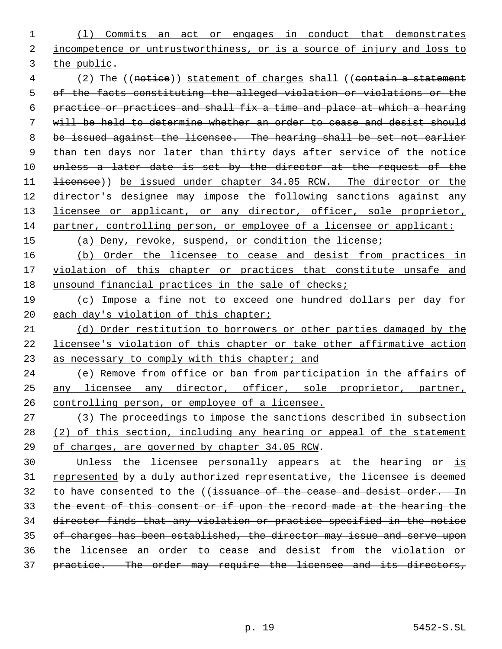(l) Commits an act or engages in conduct that demonstrates incompetence or untrustworthiness, or is a source of injury and loss to the public.

4 (2) The ((notice)) statement of charges shall ((contain a statement of the facts constituting the alleged violation or violations or the practice or practices and shall fix a time and place at which a hearing will be held to determine whether an order to cease and desist should be issued against the licensee. The hearing shall be set not earlier than ten days nor later than thirty days after service of the notice 10 unless a later date is set by the director at the request of the 11 <del>licensee</del>)) be issued under chapter 34.05 RCW. The director or the director's designee may impose the following sanctions against any 13 licensee or applicant, or any director, officer, sole proprietor, partner, controlling person, or employee of a licensee or applicant:

(a) Deny, revoke, suspend, or condition the license;

16 (b) Order the licensee to cease and desist from practices in 17 violation of this chapter or practices that constitute unsafe and 18 unsound financial practices in the sale of checks;

 (c) Impose a fine not to exceed one hundred dollars per day for 20 each day's violation of this chapter;

 (d) Order restitution to borrowers or other parties damaged by the licensee's violation of this chapter or take other affirmative action 23 as necessary to comply with this chapter; and

 (e) Remove from office or ban from participation in the affairs of any licensee any director, officer, sole proprietor, partner, controlling person, or employee of a licensee.

 (3) The proceedings to impose the sanctions described in subsection (2) of this section, including any hearing or appeal of the statement of charges, are governed by chapter 34.05 RCW.

30 Unless the licensee personally appears at the hearing or is 31 represented by a duly authorized representative, the licensee is deemed 32 to have consented to the ((issuance of the cease and desist order. In the event of this consent or if upon the record made at the hearing the director finds that any violation or practice specified in the notice of charges has been established, the director may issue and serve upon the licensee an order to cease and desist from the violation or 37 practice. The order may require the licensee and its directors,